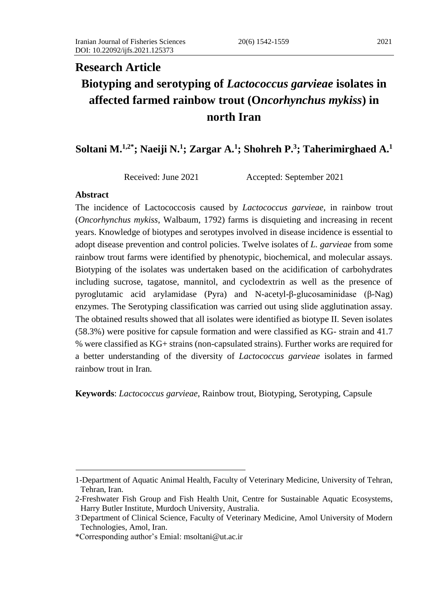# **Research Article Biotyping and serotyping of** *Lactococcus garvieae* **isolates in affected farmed rainbow trout (O***ncorhynchus mykiss***) in north Iran**

# **Soltani M.1,2\*; Naeiji N.<sup>1</sup> ; Zargar A.<sup>1</sup> ; Shohreh P.<sup>3</sup> ; Taherimirghaed A.<sup>1</sup>**

Received: June 2021 Accepted: September 2021

## **Abstract**

The incidence of Lactococcosis caused by *Lactococcus garvieae,* in rainbow trout (*Oncorhynchus mykiss*, Walbaum, 1792) farms is disquieting and increasing in recent years. Knowledge of biotypes and serotypes involved in disease incidence is essential to adopt disease prevention and control policies. Twelve isolates of *L. garvieae* from some rainbow trout farms were identified by phenotypic, biochemical, and molecular assays. Biotyping of the isolates was undertaken based on the acidification of carbohydrates including sucrose, tagatose, mannitol, and cyclodextrin as well as the presence of pyroglutamic acid arylamidase (Pyra) and N-acetyl-β-glucosaminidase (β-Nag) enzymes. The Serotyping classification was carried out using slide agglutination assay. The obtained results showed that all isolates were identified as biotype II. Seven isolates (58.3%) were positive for capsule formation and were classified as KG- strain and 41.7 % were classified as KG+ strains (non-capsulated strains). Further works are required for a better understanding of the diversity of *Lactococcus garvieae* isolates in farmed rainbow trout in Iran*.* 

**Keywords**: *Lactococcus garvieae*, Rainbow trout, Biotyping, Serotyping, Capsule

<sup>1-</sup>Department of Aquatic Animal Health, Faculty of Veterinary Medicine, University of Tehran, Tehran, Iran.

<sup>2-</sup>Freshwater Fish Group and Fish Health Unit, Centre for Sustainable Aquatic Ecosystems, Harry Butler Institute, Murdoch University, Australia.

<sup>3</sup> -Department of Clinical Science, Faculty of Veterinary Medicine, Amol University of Modern Technologies, Amol, Iran.

<sup>\*</sup>Corresponding author's Emial: [msoltani@ut.ac.ir](mailto:msoltani@ut.ac.ir)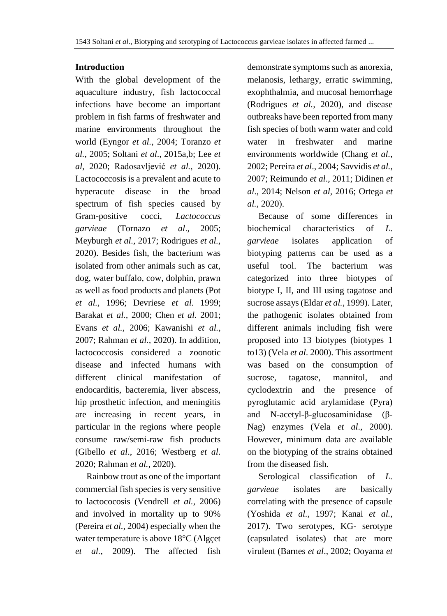# **Introduction**

With the global development of the aquaculture industry, fish lactococcal infections have become an important problem in fish farms of freshwater and marine environments throughout the world (Eyngor *et al.,* 2004; Toranzo *et al.,* 2005; Soltani *et al*., 2015a,b; Lee *et al*, 2020; Radosavljević *et al.,* 2020). Lactococcosis is a prevalent and acute to hyperacute disease in the broad spectrum of fish species caused by Gram-positive cocci, *Lactococcus garvieae* (Tornazo *et al*.*,* 2005; Meyburgh *et al.,* 2017; Rodrigues *et al.,*  2020). Besides fish, the bacterium was isolated from other animals such as cat, dog, water buffalo, cow, dolphin, prawn as well as food products and planets (Pot *et al.,* 1996; Devriese *et al.* 1999; Barakat *et al.,* 2000; Chen *et al.* 2001; Evans *et al.,* 2006; Kawanishi *et al.,* 2007; Rahman *et al.,* 2020). In addition, lactococcosis considered a zoonotic disease and infected humans with different clinical manifestation of endocarditis, bacteremia, liver abscess, hip prosthetic infection, and meningitis are increasing in recent years, in particular in the regions where people consume raw/semi-raw fish products (Gibello *et al*., 2016; Westberg *et al*. 2020; Rahman *et al.,* 2020).

 Rainbow trout as one of the important commercial fish species is very sensitive to lactococosis (Vendrell *et al.,* 2006) and involved in mortality up to 90% (Pereira *et al.,* 2004) especially when the water temperature is above 18°C (Algçet *et al.,* 2009). The affected fish

demonstrate symptoms such as anorexia, melanosis, lethargy, erratic swimming, exophthalmia, and mucosal hemorrhage (Rodrigues *et al.,* 2020), and disease outbreaks have been reported from many fish species of both warm water and cold water in freshwater and marine environments worldwide (Chang *et al.*, 2002; Pereira *et al*., 2004; Savvidis *et al.,* 2007; Reimundo *et al*., 2011; Didinen *et al*., 2014; Nelson *et al,* 2016; Ortega *et al.*, 2020).

 Because of some differences in biochemical characteristics of *L. garvieae* isolates application of biotyping patterns can be used as a useful tool. The bacterium was categorized into three biotypes of biotype I, II, and III using tagatose and sucrose assays (Eldar *et al.*, 1999). Later, the pathogenic isolates obtained from different animals including fish were proposed into 13 biotypes (biotypes 1 to13) (Vela *et al*. 2000). This assortment was based on the consumption of sucrose, tagatose, mannitol, and cyclodextrin and the presence of pyroglutamic acid arylamidase (Pyra) and N-acetyl-β-glucosaminidase (β-Nag) enzymes (Vela *et al*., 2000). However, minimum data are available on the biotyping of the strains obtained from the diseased fish.

 Serological classification of *L. garvieae* isolates are basically correlating with the presence of capsule (Yoshida *et al.,* 1997; Kanai *et al.,* 2017). Two serotypes, KG- serotype (capsulated isolates) that are more virulent (Barnes *et al*., 2002; Ooyama *et*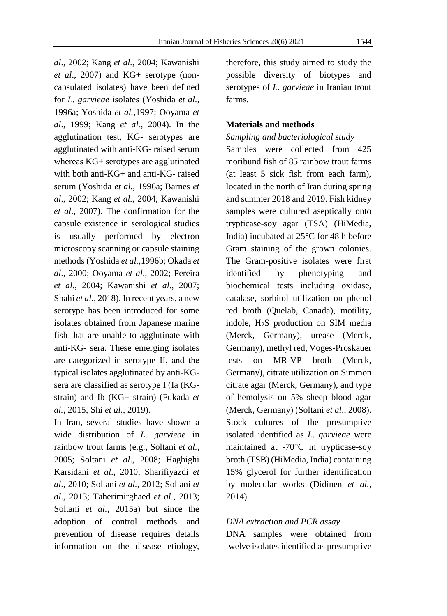*al*., 2002; Kang *et al.*, 2004; Kawanishi *et al*., 2007) and KG+ serotype (noncapsulated isolates) have been defined for *L. garvieae* isolates (Yoshida *et al.,*  1996a; Yoshida *et al.,*1997; Ooyama *et al*., 1999; Kang *et al.*, 2004). In the agglutination test, KG- serotypes are agglutinated with anti-KG- raised serum whereas KG+ serotypes are agglutinated with both anti-KG+ and anti-KG- raised serum (Yoshida *et al.,* 1996a; Barnes *et al*., 2002; Kang *et al.*, 2004; Kawanishi *et al*., 2007). The confirmation for the capsule existence in serological studies is usually performed by electron microscopy scanning or capsule staining methods (Yoshida *et al.,*1996b; Okada *et al*., 2000; Ooyama *et al*., 2002; Pereira *et al*., 2004; Kawanishi *et al*., 2007; Shahi *et al.,* 2018). In recent years, a new serotype has been introduced for some isolates obtained from Japanese marine fish that are unable to agglutinate with anti-KG- sera. These emerging isolates are categorized in serotype ІІ, and the typical isolates agglutinated by anti-KGsera are classified as serotype І (Іa (KGstrain) and Іb (KG+ strain) (Fukada *et al.,* 2015; Shi *et al.,* 2019).

In Iran, several studies have shown a wide distribution of *L. garvieae* in rainbow trout farms (e.g., Soltani *et al.,* 2005; Soltani *et al*., 2008; Haghighi Karsidani *et al*., 2010; Sharifiyazdi *et al*., 2010; Soltani *et al.*, 2012; Soltani *et al*., 2013; Taherimirghaed *et al*., 2013; Soltani *et al.,* 2015a) but since the adoption of control methods and prevention of disease requires details information on the disease etiology,

therefore, this study aimed to study the possible diversity of biotypes and serotypes of *L. garvieae* in Iranian trout farms.

## **Materials and methods**

#### *Sampling and bacteriological study*

Samples were collected from 425 moribund fish of 85 rainbow trout farms (at least 5 sick fish from each farm), located in the north of Iran during spring and summer 2018 and 2019. Fish kidney samples were cultured aseptically onto trypticase-soy agar (TSA) (HiMedia, India) incubated at 25°C for 48 h before Gram staining of the grown colonies. The Gram-positive isolates were first identified by phenotyping and biochemical tests including oxidase, catalase, sorbitol utilization on phenol red broth (Quelab, Canada), motility, indole, H2S production on SIM media (Merck, Germany), urease (Merck, Germany), methyl red, Voges-Proskauer tests on MR-VP broth (Merck, Germany), citrate utilization on Simmon citrate agar (Merck, Germany), and type of hemolysis on 5% sheep blood agar (Merck, Germany) (Soltani *et al*., 2008). Stock cultures of the presumptive isolated identified as *L. garvieae* were maintained at -70°C in trypticase-soy broth (TSB) (HiMedia, India) containing 15% glycerol for further identification by molecular works (Didinen *et al.,* 2014).

#### *DNA extraction and PCR assay*

DNA samples were obtained from twelve isolates identified as presumptive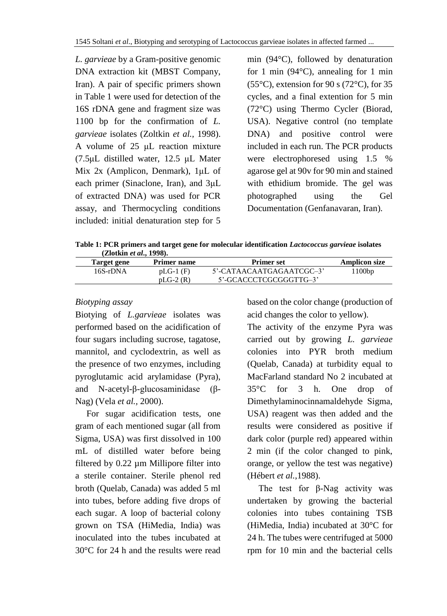*L. garvieae* by a Gram-positive genomic DNA extraction kit (MBST Company, Iran). A pair of specific primers shown in Table 1 were used for detection of the 16S rDNA gene and fragment size was 1100 bp for the confirmation of *L. garvieae* isolates (Zoltkin *et al.,* 1998). A volume of 25 μL reaction mixture (7.5μL distilled water, 12.5 μL Mater Mix 2x (Amplicon, Denmark), 1μL of each primer (Sinaclone, Iran), and 3μL of extracted DNA) was used for PCR assay, and Thermocycling conditions included: initial denaturation step for 5 min (94°C), followed by denaturation for 1 min  $(94^{\circ}$ C), annealing for 1 min  $(55^{\circ}C)$ , extension for 90 s  $(72^{\circ}C)$ , for 35 cycles, and a final extention for 5 min (72°C) using Thermo Cycler (Biorad, USA). Negative control (no template DNA) and positive control were included in each run. The PCR products were electrophoresed using 1.5 % agarose gel at 90v for 90 min and stained with ethidium bromide. The gel was photographed using the Gel Documentation (Genfanavaran, Iran).

**Table 1: PCR primers and target gene for molecular identification** *Lactococcus garvieae* **isolates (Zlotkin** *et al***., 1998).**

| Target gene | <b>Primer name</b> | <b>Primer set</b>        | <b>Amplicon size</b> |
|-------------|--------------------|--------------------------|----------------------|
| 16S-rDNA    | $pLG-1$ (F)        | 5'-CATAACAATGAGAATCGC-3' | 1100bp               |
|             | $pLG-2(R)$         | 5'-GCACCCTCGCGGGTTG-3'   |                      |

# *Biotyping assay*

Biotying of *L.garvieae* isolates was performed based on the acidification of four sugars including sucrose, tagatose, mannitol, and cyclodextrin, as well as the presence of two enzymes, including pyroglutamic acid arylamidase (Pyra), and N-acetyl-β-glucosaminidase (β-Nag) (Vela *et al.,* 2000).

 For sugar acidification tests, one gram of each mentioned sugar (all from Sigma, USA) was first dissolved in 100 mL of distilled water before being filtered by 0.22 µm Millipore filter into a sterile container. Sterile phenol red broth (Quelab, Canada) was added 5 ml into tubes, before adding five drops of each sugar. A loop of bacterial colony grown on TSA (HiMedia, India) was inoculated into the tubes incubated at 30°C for 24 h and the results were read based on the color change (production of acid changes the color to yellow).

The activity of the enzyme Pyra was carried out by growing *L. garvieae* colonies into PYR broth medium (Quelab, Canada) at turbidity equal to MacFarland standard No 2 incubated at 35°C for 3 h. One drop of Dimethylaminocinnamaldehyde Sigma, USA) reagent was then added and the results were considered as positive if dark color (purple red) appeared within 2 min (if the color changed to pink, orange, or yellow the test was negative) (Hébert *et al.*,1988).

 The test for β-Nag activity was undertaken by growing the bacterial colonies into tubes containing TSB (HiMedia, India) incubated at 30°C for 24 h. The tubes were centrifuged at 5000 rpm for 10 min and the bacterial cells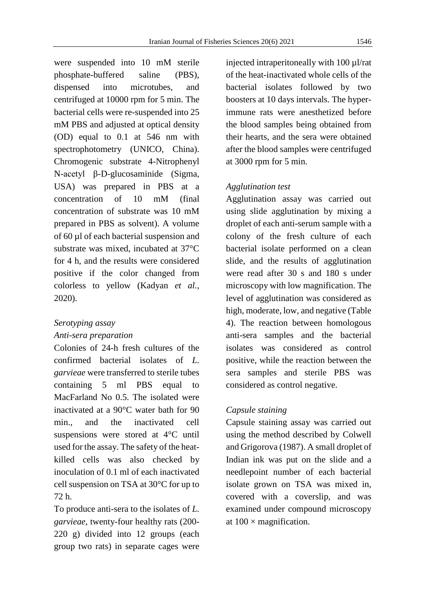were suspended into 10 mM sterile phosphate-buffered saline (PBS), dispensed into microtubes, and centrifuged at 10000 rpm for 5 min. The bacterial cells were re-suspended into 25 mM PBS and adjusted at optical density (OD) equal to 0.1 at 546 nm with spectrophotometry (UNICO, China). Chromogenic substrate 4-Nitrophenyl N-acetyl β-D-glucosaminide (Sigma, USA) was prepared in PBS at a concentration of 10 mM (final concentration of substrate was 10 mM prepared in PBS as solvent). A volume of 60 µl of each bacterial suspension and substrate was mixed, incubated at 37°C for 4 h, and the results were considered positive if the color changed from colorless to yellow (Kadyan *et al.*, 2020).

## *Serotyping assay*

## *Anti-sera preparation*

Colonies of 24-h fresh cultures of the confirmed bacterial isolates of *L. garvieae* were transferred to sterile tubes containing 5 ml PBS equal to MacFarland No 0.5. The isolated were inactivated at a 90°C water bath for 90 min., and the inactivated cell suspensions were stored at 4°C until used for the assay. The safety of the heatkilled cells was also checked by inoculation of 0.1 ml of each inactivated cell suspension on TSA at 30°C for up to 72 h.

To produce anti-sera to the isolates of *L. garvieae*, twenty-four healthy rats (200- 220 g) divided into 12 groups (each group two rats) in separate cages were

injected intraperitoneally with 100 ul/rat of the heat-inactivated whole cells of the bacterial isolates followed by two boosters at 10 days intervals. The hyperimmune rats were anesthetized before the blood samples being obtained from their hearts, and the sera were obtained after the blood samples were centrifuged at 3000 rpm for 5 min.

# *Agglutination test*

Agglutination assay was carried out using slide agglutination by mixing a droplet of each anti-serum sample with a colony of the fresh culture of each bacterial isolate performed on a clean slide, and the results of agglutination were read after 30 s and 180 s under microscopy with low magnification. The level of agglutination was considered as high, moderate, low, and negative (Table 4). The reaction between homologous anti-sera samples and the bacterial isolates was considered as control positive, while the reaction between the sera samples and sterile PBS was considered as control negative.

# *Capsule staining*

Capsule staining assay was carried out using the method described by Colwell and Grigorova (1987). A small droplet of Indian ink was put on the slide and a needlepoint number of each bacterial isolate grown on TSA was mixed in, covered with a coverslip, and was examined under compound microscopy at  $100 \times$  magnification.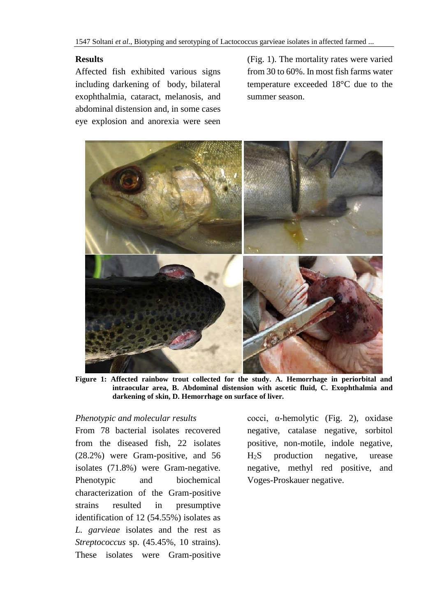# **Results**

Affected fish exhibited various signs including darkening of body, bilateral exophthalmia, cataract, melanosis, and abdominal distension and, in some cases eye explosion and anorexia were seen (Fig. 1). The mortality rates were varied from 30 to 60%. In most fish farms water temperature exceeded 18°C due to the summer season.



**Figure 1: Affected rainbow trout collected for the study. A. Hemorrhage in periorbital and intraocular area, B. Abdominal distension with ascetic fluid, C. Exophthalmia and darkening of skin, D. Hemorrhage on surface of liver.**

## *Phenotypic and molecular results*

From 78 bacterial isolates recovered from the diseased fish, 22 isolates (28.2%) were Gram-positive, and 56 isolates (71.8%) were Gram-negative. Phenotypic and biochemical characterization of the Gram-positive strains resulted in presumptive identification of 12 (54.55%) isolates as *L. garvieae* isolates and the rest as *Streptococcus* sp. (45.45%, 10 strains). These isolates were Gram-positive

cocci, α-hemolytic (Fig. 2), oxidase negative, catalase negative, sorbitol positive, non-motile, indole negative, H2S production negative, urease negative, methyl red positive, and Voges-Proskauer negative.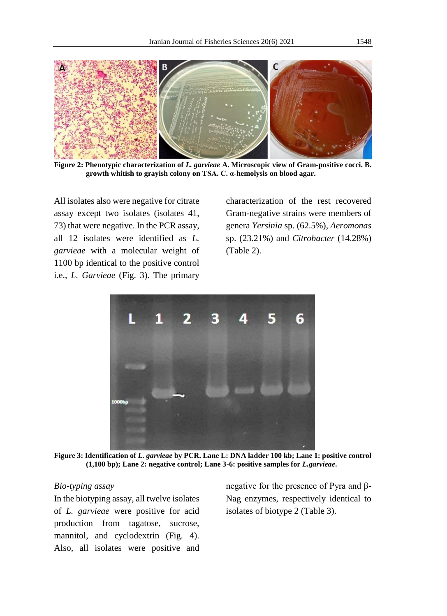

**Figure 2: Phenotypic characterization of** *L. garvieae* **A. Microscopic view of Gram-positive cocci. B. growth whitish to grayish colony on TSA. C. α-hemolysis on blood agar.**

All isolates also were negative for citrate assay except two isolates (isolates 41, 73) that were negative. In the PCR assay, all 12 isolates were identified as *L. garvieae* with a molecular weight of 1100 bp identical to the positive control i.e., *L. Garvieae* (Fig. 3). The primary

characterization of the rest recovered Gram-negative strains were members of genera *Yersinia* sp. (62.5%), *Aeromonas* sp. (23.21%) and *Citrobacter* (14.28%) (Table 2).



**Figure 3: Identification of** *L. garvieae* **by PCR. Lane L: DNA ladder 100 kb; Lane 1: positive control (1,100 bp); Lane 2: negative control; Lane 3-6: positive samples for** *L.garvieae***.** 

#### *Bio-typing assay*

In the biotyping assay, all twelve isolates of *L. garvieae* were positive for acid production from tagatose, sucrose, mannitol, and cyclodextrin (Fig. 4). Also, all isolates were positive and negative for the presence of Pyra and β-Nag enzymes, respectively identical to isolates of biotype 2 (Table 3).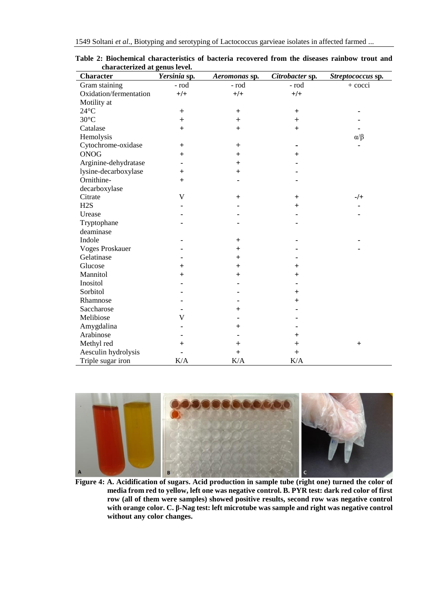| <b>Character</b>       | Yersinia sp.   | Aeromonas sp.  | Citrobacter sp. | Streptococcus sp. |
|------------------------|----------------|----------------|-----------------|-------------------|
| Gram staining          | - rod          | - rod          | - rod           | $+$ cocci         |
| Oxidation/fermentation | $+/-$          | $+/-$          | $+/-$           |                   |
| Motility at            |                |                |                 |                   |
| $24^{\circ}$ C         | $^{+}$         | $+$            | $+$             |                   |
| $30^{\circ}$ C         | $^{+}$         | $+$            | $+$             |                   |
| Catalase               | $+$            | $+$            | $+$             |                   |
| Hemolysis              |                |                |                 | $\alpha/\beta$    |
| Cytochrome-oxidase     | $\pm$          | $^{+}$         |                 |                   |
| <b>ONOG</b>            | $\overline{+}$ | $^{+}$         | $^{+}$          |                   |
| Arginine-dehydratase   |                | $\ddot{}$      |                 |                   |
| lysine-decarboxylase   | $^{+}$         | $\ddot{}$      |                 |                   |
| Ornithine-             | $+$            |                |                 |                   |
| decarboxylase          |                |                |                 |                   |
| Citrate                | V              | $\ddot{}$      | $\ddot{}$       | -/+               |
| H2S                    |                |                | $+$             |                   |
| Urease                 |                |                |                 |                   |
| Tryptophane            |                |                |                 |                   |
| deaminase              |                |                |                 |                   |
| Indole                 |                | $\ddot{}$      |                 |                   |
| <b>Voges Proskauer</b> |                | $^{+}$         |                 |                   |
| Gelatinase             |                | $\ddot{}$      |                 |                   |
| Glucose                | $\overline{+}$ | $\overline{+}$ | $^{+}$          |                   |
| Mannitol               | $\overline{+}$ | $\ddot{}$      | $^{+}$          |                   |
| Inositol               |                |                |                 |                   |
| Sorbitol               |                |                | $\ddot{}$       |                   |
| Rhamnose               |                |                | $\ddot{}$       |                   |
| Saccharose             |                | $^+$           |                 |                   |
| Melibiose              | V              |                |                 |                   |
| Amygdalina             |                | $\,{}^+$       |                 |                   |
| Arabinose              |                |                | $\pm$           |                   |
| Methyl red             | $^{+}$         | $\, + \,$      | $^{+}$          | $+$               |
| Aesculin hydrolysis    |                | $\ddot{}$      | $^{+}$          |                   |
| Triple sugar iron      | K/A            | K/A            | K/A             |                   |

**Table 2: Biochemical characteristics of bacteria recovered from the diseases rainbow trout and characterized at genus level.** 



**Figure 4: A. Acidification of sugars. Acid production in sample tube (right one) turned the color of media from red to yellow, left one was negative control. B. PYR test: dark red color of first row (all of them were samples) showed positive results, second row was negative control with orange color. C. β-Nag test: left microtube was sample and right was negative control without any color changes.**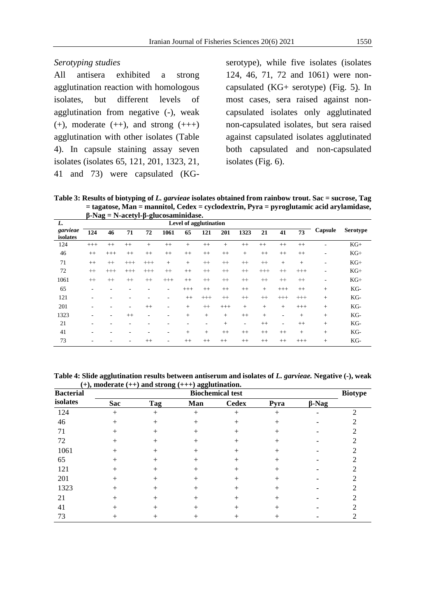## *Serotyping studies*

All antisera exhibited a strong agglutination reaction with homologous isolates, but different levels of agglutination from negative (-), weak  $(+)$ , moderate  $(++)$ , and strong  $(++)$ agglutination with other isolates (Table 4). In capsule staining assay seven isolates (isolates 65, 121, 201, 1323, 21, 41 and 73) were capsulated (KG-

serotype), while five isolates (isolates 124, 46, 71, 72 and 1061) were noncapsulated (KG+ serotype) (Fig. 5). In most cases, sera raised against noncapsulated isolates only agglutinated non-capsulated isolates, but sera raised against capsulated isolates agglutinated both capsulated and non-capsulated isolates (Fig. 6).

**Table 3: Results of biotyping of** *L. garvieae* **isolates obtained from rainbow trout. Sac = sucrose, Tag = tagatose, Man = mannitol, Cedex = cyclodextrin, Pyra = pyroglutamic acid arylamidase, β-Nag = N-acetyl-β-glucosaminidase.**

|                      |                               |          |          |                          | $p\text{-}i\alpha g - i\gamma\text{-}acoty\text{-}p\text{-}gacosammmuasc.$ |         |          |         |         |          |                          |          |                          |                 |
|----------------------|-------------------------------|----------|----------|--------------------------|----------------------------------------------------------------------------|---------|----------|---------|---------|----------|--------------------------|----------|--------------------------|-----------------|
| L.                   | <b>Level of agglutination</b> |          |          |                          |                                                                            |         |          |         |         |          |                          |          |                          |                 |
| garvieae<br>isolates | 124                           | 46       | 71       | 72                       | 1061                                                                       | 65      | 121      | 201     | 1323    | 21       | 41                       | 73       | Capsule                  | <b>Serotype</b> |
| 124                  | $+++$                         | $++$     | $^{++}$  | $^{+}$                   | $^{++}$                                                                    | $^{+}$  | $^{++}$  | $+$     | $++$    | $^{++}$  | $++$                     | $++$     | ٠                        | $KG+$           |
| 46                   | $^{++}$                       | $+++$    | $++$     | $++$                     | $^{++}$                                                                    | $^{++}$ | $^{++}$  | $^{++}$ | $+$     | $++$     | $++$                     | $++$     | $\overline{\phantom{a}}$ | $KG+$           |
| 71                   | $++$                          | $^{++}$  | $^{+++}$ | $^{+++}$                 | $+$                                                                        | $+$     | $^{++}$  | $^{++}$ | $^{++}$ | $^{++}$  | $^{+}$                   | $+$      | $\overline{\phantom{a}}$ | $KG+$           |
| 72                   | $^{++}$                       | $^{+++}$ | $++$     | $^{+++}$                 | $^{++}$                                                                    | $++$    | $^{++}$  | $^{++}$ | $^{++}$ | $^{+++}$ | $^{++}$                  | $^{+++}$ | ٠                        | $KG+$           |
| 1061                 | $^{++}$                       | $++$     | $^{++}$  | $^{++}$                  | $^{+++}$                                                                   | $++$    | $^{++}$  | $^{++}$ | $^{++}$ | $^{++}$  | $^{++}$                  | $^{++}$  | $\overline{\phantom{a}}$ | $KG+$           |
| 65                   | ۰                             | ۰        |          |                          | $\overline{\phantom{a}}$                                                   | $+++$   | $++$     | $++$    | $++$    | $+$      | $+++$                    | $++$     | $+$                      | KG-             |
| 121                  |                               | ٠        |          |                          | $\overline{\phantom{a}}$                                                   | $++$    | $^{+++}$ | $^{++}$ | $^{++}$ | $^{++}$  | $^{+++}$                 | $^{+++}$ | $+$                      | KG-             |
| 201                  | ۰                             | ٠        | ۰        | $^{++}$                  | ٠                                                                          | $+$     | $^{++}$  | $+++$   | $+$     | $+$      | $^{+}$                   | $+++$    | $^{+}$                   | KG-             |
| 1323                 |                               | ۰        | $++$     | $\overline{\phantom{a}}$ | ۰                                                                          | $+$     | $^{+}$   | $+$     | $++$    | $+$      | $\overline{\phantom{a}}$ | $+$      | $+$                      | KG-             |
| 21                   | ۰                             | ٠        |          |                          |                                                                            | ٠       | ۰        | $+$     | ٠       | $++$     | ٠                        | $++$     | $+$                      | KG-             |
| 41                   |                               | ٠        |          |                          | $\overline{\phantom{a}}$                                                   | $+$     | $^{+}$   | $++$    | $++$    | $++$     | $^{++}$                  | $+$      | $+$                      | KG-             |
| 73                   | ۰                             |          |          | $++$                     | $\overline{\phantom{a}}$                                                   | $++$    | $++$     | $++$    | $++$    | $++$     | $++$                     | $+++$    | $^{+}$                   | KG-             |

**Table 4: Slide agglutination results between antiserum and isolates of** *L. garvieae.* **Negative (-), weak (+), moderate (++) and strong (+++) agglutination.**

| $\sim$ $\prime$ $\prime$<br><b>Bacterial</b> | $\bullet$<br>$\sigma$<br><b>Biochemical test</b> |     |                    |              |        |              |                |  |  |  |  |
|----------------------------------------------|--------------------------------------------------|-----|--------------------|--------------|--------|--------------|----------------|--|--|--|--|
| isolates                                     | <b>Sac</b>                                       | Tag | Man                | <b>Cedex</b> | Pyra   | $\beta$ -Nag | <b>Biotype</b> |  |  |  |  |
| 124                                          | $+$                                              |     | $\hspace{0.1mm} +$ | $^+$         | $^{+}$ |              | ◠              |  |  |  |  |
| 46                                           | $\hspace{0.1mm} +$                               |     | $^{+}$             | ┿            | $^+$   |              |                |  |  |  |  |
| 71                                           | $^+$                                             |     | $^+$               | ┿            | ┿      |              |                |  |  |  |  |
| 72                                           | $^+$                                             |     | $^+$               | ┿            | ┿      |              |                |  |  |  |  |
| 1061                                         | $^+$                                             |     | $\hspace{0.1mm} +$ | ┿            | $\! +$ |              |                |  |  |  |  |
| 65                                           | $^+$                                             |     | $^{+}$             | ┿            | $\! +$ |              |                |  |  |  |  |
| 121                                          | $\hspace{0.1mm} +$                               |     | $^+$               | ┿            | ╇      |              |                |  |  |  |  |
| 201                                          | $^{+}$                                           |     | $^+$               | ٠            | ┿      |              |                |  |  |  |  |
| 1323                                         | $\hspace{0.1mm} +$                               |     | $^{+}$             | ┿            | ╇      |              |                |  |  |  |  |
| 21                                           | $\hspace{0.1mm} +$                               |     | $^+$               | ┿            | +      |              |                |  |  |  |  |
| 41                                           | +                                                |     | ┿                  |              |        |              |                |  |  |  |  |
| 73                                           |                                                  |     |                    |              |        |              |                |  |  |  |  |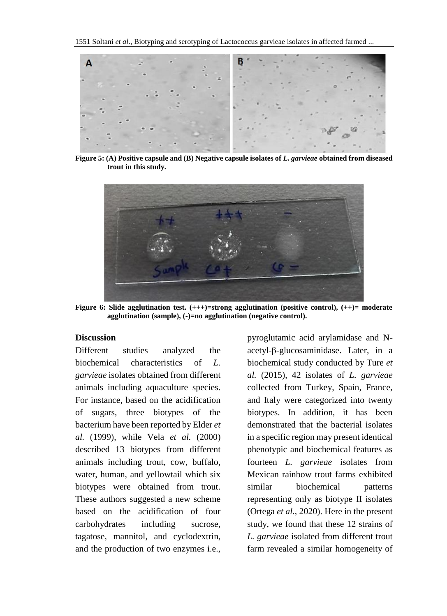

**Figure 5: (A) Positive capsule and (B) Negative capsule isolates of** *L. garvieae* **obtained from diseased trout in this study.**



**Figure 6: Slide agglutination test. (+++)=strong agglutination (positive control), (++)= moderate agglutination (sample), (-)=no agglutination (negative control).**

# **Discussion**

Different studies analyzed the biochemical characteristics of *L. garvieae* isolates obtained from different animals including aquaculture species. For instance, based on the acidification of sugars, three biotypes of the bacterium have been reported by Elder *et al.* (1999), while Vela *et al.* (2000) described 13 biotypes from different animals including trout, cow, buffalo, water, human, and yellowtail which six biotypes were obtained from trout. These authors suggested a new scheme based on the acidification of four carbohydrates including sucrose, tagatose, mannitol, and cyclodextrin, and the production of two enzymes i.e., pyroglutamic acid arylamidase and Nacetyl-β-glucosaminidase. Later, in a biochemical study conducted by Ture *et al.* (2015), 42 isolates of *L. garvieae* collected from Turkey, Spain, France, and Italy were categorized into twenty biotypes. In addition, it has been demonstrated that the bacterial isolates in a specific region may present identical phenotypic and biochemical features as fourteen *L. garvieae* isolates from Mexican rainbow trout farms exhibited similar biochemical patterns representing only as biotype II isolates (Ortega *et al*., 2020). Here in the present study, we found that these 12 strains of *L. garvieae* isolated from different trout farm revealed a similar homogeneity of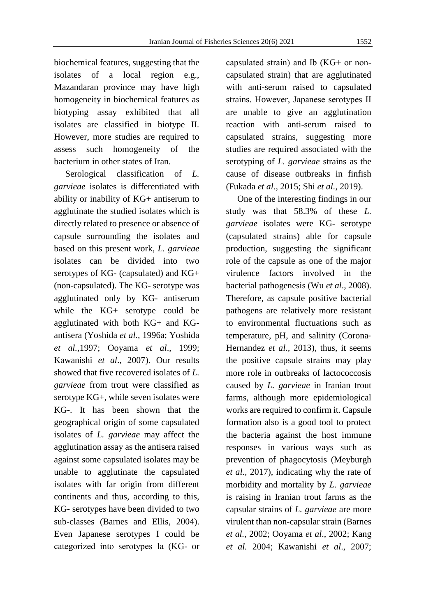biochemical features, suggesting that the isolates of a local region e.g., Mazandaran province may have high homogeneity in biochemical features as biotyping assay exhibited that all isolates are classified in biotype II. However, more studies are required to assess such homogeneity of the bacterium in other states of Iran.

 Serological classification of *L. garvieae* isolates is differentiated with ability or inability of KG+ antiserum to agglutinate the studied isolates which is directly related to presence or absence of capsule surrounding the isolates and based on this present work, *L. garvieae* isolates can be divided into two serotypes of KG- (capsulated) and KG+ (non-capsulated). The KG- serotype was agglutinated only by KG- antiserum while the KG+ serotype could be agglutinated with both KG+ and KGantisera (Yoshida *et al.,* 1996a; Yoshida *et al.,*1997; Ooyama *et al*., 1999; Kawanishi *et al*., 2007). Our results showed that five recovered isolates of *L. garvieae* from trout were classified as serotype KG+, while seven isolates were KG-. It has been shown that the geographical origin of some capsulated isolates of *L. garvieae* may affect the agglutination assay as the antisera raised against some capsulated isolates may be unable to agglutinate the capsulated isolates with far origin from different continents and thus, according to this, KG- serotypes have been divided to two sub-classes (Barnes and Ellis, 2004). Even Japanese serotypes I could be categorized into serotypes Іa (KG- or

capsulated strain) and Іb (KG+ or noncapsulated strain) that are agglutinated with anti-serum raised to capsulated strains. However, Japanese serotypes ІІ are unable to give an agglutination reaction with anti-serum raised to capsulated strains, suggesting more studies are required associated with the serotyping of *L. garvieae* strains as the cause of disease outbreaks in finfish (Fukada *et al.,* 2015; Shi *et al.*, 2019).

 One of the interesting findings in our study was that 58.3% of these *L. garvieae* isolates were KG- serotype (capsulated strains) able for capsule production, suggesting the significant role of the capsule as one of the major virulence factors involved in the bacterial pathogenesis (Wu *et al*., 2008). Therefore, as capsule positive bacterial pathogens are relatively more resistant to environmental fluctuations such as temperature, pH, and salinity (Corona‐ Hernandez *et al.,* 2013), thus, it seems the positive capsule strains may play more role in outbreaks of lactococcosis caused by *L. garvieae* in Iranian trout farms, although more epidemiological works are required to confirm it. Capsule formation also is a good tool to protect the bacteria against the host immune responses in various ways such as prevention of phagocytosis (Meyburgh *et al.,* 2017), indicating why the rate of morbidity and mortality by *L. garvieae* is raising in Iranian trout farms as the capsular strains of *L. garvieae* are more virulent than non-capsular strain (Barnes *et al.*, 2002; Ooyama *et al*., 2002; Kang *et al.* 2004; Kawanishi *et al*., 2007;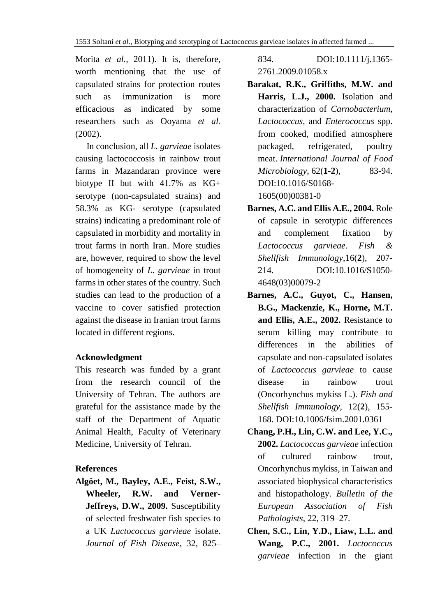Morita *et al.,* 2011). It is, therefore, worth mentioning that the use of capsulated strains for protection routes such as immunization is more efficacious as indicated by some researchers such as Ooyama *et al.* (2002).

 In conclusion, all *L. garvieae* isolates causing lactococcosis in rainbow trout farms in Mazandaran province were biotype II but with 41.7% as KG+ serotype (non-capsulated strains) and 58.3% as KG- serotype (capsulated strains) indicating a predominant role of capsulated in morbidity and mortality in trout farms in north Iran. More studies are, however, required to show the level of homogeneity of *L. garvieae* in trout farms in other states of the country. Such studies can lead to the production of a vaccine to cover satisfied protection against the disease in Iranian trout farms located in different regions.

## **Acknowledgment**

This research was funded by a grant from the research council of the University of Tehran. The authors are grateful for the assistance made by the staff of the Department of Aquatic Animal Health, Faculty of Veterinary Medicine, University of Tehran.

# **References**

**Algöet, M., Bayley, A.E., Feist, S.W., Wheeler, R.W. and Verner-Jeffreys, D.W., 2009.** Susceptibility of selected freshwater fish species to a UK *Lactococcus garvieae* isolate. *Journal of Fish Disease*, 32, 825–

834. [DOI:10.1111/j.1365-](https://doi.org/10.1111/j.1365-2761.2009.01058.x) [2761.2009.01058.x](https://doi.org/10.1111/j.1365-2761.2009.01058.x)

- **Barakat, R.K., Griffiths, M.W. and Harris, L.J., 2000.** Isolation and characterization of *Carnobacterium*, *Lactococcus*, and *Enterococcus* spp. from cooked, modified atmosphere packaged, refrigerated, poultry meat. *International Journal of Food Microbiology*, 62(**1-2**), 83-94. [DOI:10.1016/S0168-](https://doi.org/10.1016/S0168-1605(00)00381-0) [1605\(00\)00381-0](https://doi.org/10.1016/S0168-1605(00)00381-0)
- **Barnes, A.C. and Ellis A.E., 2004.** Role of capsule in serotypic differences and complement fixation by *Lactococcus garvieae*. *[Fish &](https://www.sciencedirect.com/science/journal/10504648)  [Shellfish Immunology](https://www.sciencedirect.com/science/journal/10504648)*,16(**2**), 207- 214. DOI:10.1016/S1050- 4648(03)00079-2
- **Barnes, A.C., Guyot, C., Hansen, B.G., Mackenzie, K., Horne, M.T. and Ellis, A.E., 2002.** Resistance to serum killing may contribute to differences in the abilities of capsulate and non-capsulated isolates of *Lactococcus garvieae* to cause disease in rainbow trout (Oncorhynchus mykiss L.). *Fish and Shellfish Immunology*, 12(**2**), 155- 168. DOI:10.1006/fsim.2001.0361
- **Chang, P.H., Lin, C.W. and Lee, Y.C., 2002.** *Lactococcus garvieae* infection of cultured rainbow trout, Oncorhynchus mykiss, in Taiwan and associated biophysical characteristics and histopathology. *Bulletin of the European Association of Fish Pathologists*, 22, 319–27.
- **Chen, S.C., Lin, Y.D., Liaw, L.L. and Wang, P.C., 2001.** *Lactococcus garvieae* infection in the giant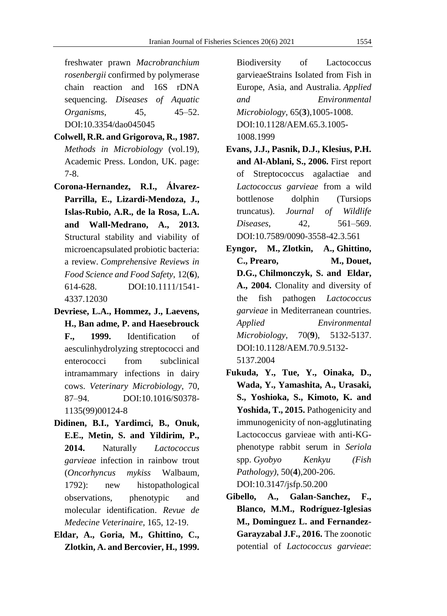freshwater prawn *Macrobranchium rosenbergii* confirmed by polymerase chain reaction and 16S rDNA sequencing. *Diseases of Aquatic Organisms*, 45, 45–52. DOI:10.3354/dao045045

- **Colwell, R.R. and Grigorova, R., 1987.** *Methods in Microbiology* (vol.19), Academic Press. London, UK. page: 7-8.
- **Corona**‐**Hernandez, R.I., Álvarez**‐ **Parrilla, E., Lizardi**‐**Mendoza, J., Islas**‐**Rubio, A.R., de la Rosa, L.A. and Wall**‐**Medrano, A., 2013.** Structural stability and viability of microencapsulated probiotic bacteria: a review. *Comprehensive Reviews in Food Science and Food Safety*, 12(**6**), 614-628. DOI:10.1111/1541- 4337.12030
- **Devriese, L.A., Hommez, J., Laevens, H., Ban adme, P. and Haesebrouck F., 1999.** Identification of aesculinhydrolyzing streptococci and enterococci from subclinical intramammary infections in dairy cows. *Veterinary Microbiology*, 70, 87–94. DOI:10.1016/S0378- 1135(99)00124-8
- **Didinen, B.I., Yardimci, B., Onuk, E.E., Metin, S. and Yildirim, P., 2014.** Naturally *Lactococcus garvieae* infection in rainbow trout (*Oncorhyncus mykiss* Walbaum, 1792): new histopathological observations, phenotypic and molecular identification. *Revue de Medecine Veterinaire*, 165, 12-19.
- **Eldar, A., Goria, M., Ghittino, C., Zlotkin, A. and Bercovier, H., 1999.**

Biodiversity of Lactococcus garvieaeStrains Isolated from Fish in Europe, Asia, and Australia. *Applied and Environmental Microbiology*, 65(**3**),1005-1008. DOI:10.1128/AEM.65.3.1005- 1008.1999

- **Evans, J.J., Pasnik, D.J., Klesius, P.H. and Al-Ablani, S., 2006.** First report of Streptococcus agalactiae and *Lactococcus garvieae* from a wild bottlenose dolphin (Tursiops truncatus). *Journal of Wildlife Diseases*, 42, 561–569. DOI:10.7589/0090-3558-42.3.561
- **[Eyngor, M.](https://www.ncbi.nlm.nih.gov/pubmed/?term=Eyngor%20M%5BAuthor%5D&cauthor=true&cauthor_uid=15345391), [Zlotkin, A.](https://www.ncbi.nlm.nih.gov/pubmed/?term=Zlotkin%20A%5BAuthor%5D&cauthor=true&cauthor_uid=15345391), [Ghittino,](https://www.ncbi.nlm.nih.gov/pubmed/?term=Ghittino%20C%5BAuthor%5D&cauthor=true&cauthor_uid=15345391)  [C.](https://www.ncbi.nlm.nih.gov/pubmed/?term=Ghittino%20C%5BAuthor%5D&cauthor=true&cauthor_uid=15345391), [Prearo, M.](https://www.ncbi.nlm.nih.gov/pubmed/?term=Prearo%20M%5BAuthor%5D&cauthor=true&cauthor_uid=15345391), [Douet,](https://www.ncbi.nlm.nih.gov/pubmed/?term=Douet%20DG%5BAuthor%5D&cauthor=true&cauthor_uid=15345391)  [D.G.](https://www.ncbi.nlm.nih.gov/pubmed/?term=Douet%20DG%5BAuthor%5D&cauthor=true&cauthor_uid=15345391), [Chilmonczyk, S.](https://www.ncbi.nlm.nih.gov/pubmed/?term=Chilmonczyk%20S%5BAuthor%5D&cauthor=true&cauthor_uid=15345391) and [Eldar,](https://www.ncbi.nlm.nih.gov/pubmed/?term=Eldar%20A%5BAuthor%5D&cauthor=true&cauthor_uid=15345391)  [A.](https://www.ncbi.nlm.nih.gov/pubmed/?term=Eldar%20A%5BAuthor%5D&cauthor=true&cauthor_uid=15345391), 2004.** Clonality and diversity of the fish pathogen *Lactococcus garvieae* in Mediterranean countries. *[Applied Environmental](https://www.ncbi.nlm.nih.gov/pubmed/15345391)  [Microbiology](https://www.ncbi.nlm.nih.gov/pubmed/15345391)*, 70(**9**), 5132-5137. DOI:10.1128/AEM.70.9.5132- 5137.2004
- **Fukuda, Y., Tue, Y., Oinaka, D., Wada, Y., Yamashita, A., Urasaki, S., Yoshioka, S., Kimoto, K. and Yoshida, T., 2015.** Pathogenicity and immunogenicity of non-agglutinating Lactococcus garvieae with anti-KGphenotype rabbit serum in *Seriola* spp. *Gyobyo Kenkyu (Fish Pathology)*, 50(**4**),200-206. DOI:10.3147/jsfp.50.200
- **Gibello, A., Galan-Sanchez, F., Blanco, M.M., Rodríguez-Iglesias M., Dominguez L. and Fernandez-Garayzabal J.F., 2016.** The zoonotic potential of *Lactococcus garvieae*: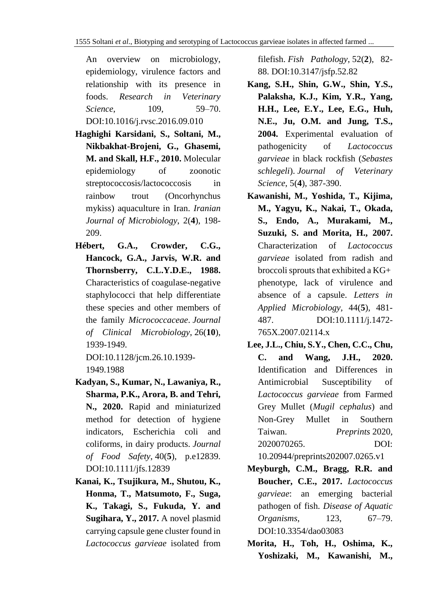An overview on microbiology, epidemiology, virulence factors and relationship with its presence in foods. *Research in Veterinary Science*, 109, 59–70. DOI:10.1016/j.rvsc.2016.09.010

- **Haghighi Karsidani, S., Soltani, M., Nikbakhat-Brojeni, G., Ghasemi, M. and Skall, H.F., 2010.** Molecular epidemiology of zoonotic streptococcosis/lactococcosis in rainbow trout (Oncorhynchus mykiss) aquaculture in Iran. *Iranian Journal of Microbiology*, 2(**4**), 198- 209.
- **Hébert, G.A., Crowder, C.G., Hancock, G.A., Jarvis, W.R. and Thornsberry, C.L.Y.D.E., 1988.**  Characteristics of coagulase-negative staphylococci that help differentiate these species and other members of the family *Micrococcaceae*. *Journal of Clinical Microbiology*, 26(**10**), 1939-1949. DOI:10.1128/jcm.26.10.1939-

1949.1988

- **Kadyan, S., Kumar, N., Lawaniya, R., Sharma, P.K., Arora, B. and Tehri, N., 2020.** Rapid and miniaturized method for detection of hygiene indicators, Escherichia coli and coliforms, in dairy products. *Journal of Food Safety*, 40(**5**), p.e12839. DOI:10.1111/jfs.12839
- **Kanai, K., Tsujikura, M., Shutou, K., Honma, T., Matsumoto, F., Suga, K., Takagi, S., Fukuda, Y. and Sugihara, Y., 2017.** A novel plasmid carrying capsule gene cluster found in *Lactococcus garvieae* isolated from

filefish. *Fish Pathology*, 52(**2**), 82- 88. DOI:10.3147/jsfp.52.82

- **Kang, S.H., Shin, G.W., Shin, Y.S., Palaksha, K.J., Kim, Y.R., Yang, H.H., Lee, E.Y., Lee, E.G., Huh, N.E., Ju, O.M. and Jung, T.S., 2004.** Experimental evaluation of pathogenicity of *Lactococcus garvieae* in black rockfish (*Sebastes schlegeli*). *Journal of Veterinary Science*, 5(**4**), 387-390.
- **Kawanishi, M., Yoshida, T., Kijima, M., Yagyu, K., Nakai, T., Okada, S., Endo, A., Murakami, M., Suzuki, S. and Morita, H., 2007.** Characterization of *Lactococcus garvieae* isolated from radish and broccoli sprouts that exhibited a KG+ phenotype, lack of virulence and absence of a capsule. *Letters in Applied Microbiology,* 44(**5**), 481- 487. DOI:10.1111/j.1472- 765X.2007.02114.x
- **Lee, J.L., Chiu, S.Y., Chen, C.C., Chu, C. and Wang, J.H., 2020.**  Identification and Differences in Antimicrobial Susceptibility of *Lactococcus garvieae* from Farmed Grey Mullet (*Mugil cephalus*) and Non-Grey Mullet in Southern Taiwan. *Preprints* 2020, 2020070265. DOI: 10.20944/preprints202007.0265.v1
- **Meyburgh, C.M., Bragg, R.R. and Boucher, C.E., 2017.** *Lactococcus garvieae*: an emerging bacterial pathogen of fish. *Disease of Aquatic Organisms*, 123, 67–79. DOI:10.3354/dao03083
- **Morita, H., Toh, H., Oshima, K., Yoshizaki, M., Kawanishi, M.,**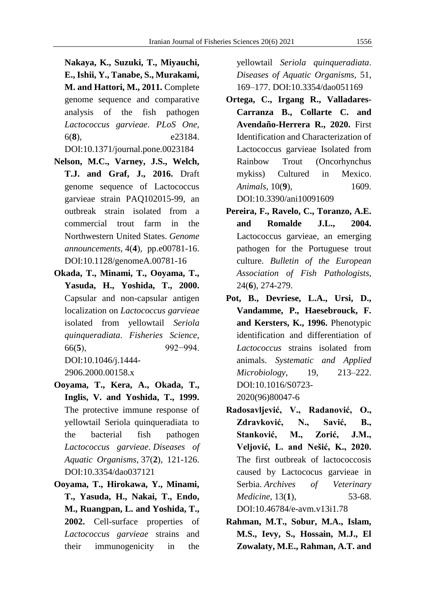**Nakaya, K., Suzuki, T., Miyauchi, E., Ishii, Y., Tanabe, S., Murakami, M. and Hattori, M., 2011.** Complete genome sequence and comparative analysis of the fish pathogen *Lactococcus garvieae*. *PLoS One*, 6(**8**), e23184. DOI:10.1371/journal.pone.0023184

- **Nelson, M.C., Varney, J.S., Welch, T.J. and Graf, J., 2016.** Draft genome sequence of Lactococcus garvieae strain PAQ102015-99, an outbreak strain isolated from a commercial trout farm in the Northwestern United States. *Genome announcements*, 4(**4**), pp.e00781-16. DOI:10.1128/genomeA.00781-16
- **Okada, T., Minami, T., Ooyama, T., Yasuda, H., Yoshida, T., 2000.** Capsular and non-capsular antigen localization on *Lactococcus garvieae* isolated from yellowtail *Seriola quinqueradiata*. *Fisheries Science*, 66(**5**), 992−994. DOI:10.1046/j.1444- 2906.2000.00158.x
- **Ooyama, T., Kera, A., Okada, T., Inglis, V. and Yoshida, T., 1999.** The protective immune response of yellowtail Seriola quinqueradiata to the bacterial fish pathogen *Lactococcus garvieae*. *Diseases of Aquatic Organisms*, 37(**2**), 121-126. DOI:10.3354/dao037121
- **Ooyama, T., Hirokawa, Y., Minami, T., Yasuda, H., Nakai, T., Endo, M., Ruangpan, L. and Yoshida, T., 2002.** Cell-surface properties of *Lactococcus garvieae* strains and their immunogenicity in the

yellowtail *Seriola quinqueradiata*. *Diseases of Aquatic Organisms,* 51, 169–177. DOI:10.3354/dao051169

- **Ortega, C., Irgang R., Valladares-Carranza B., Collarte C. and Avendaño-Herrera R., 2020.** First Identification and Characterization of Lactococcus garvieae Isolated from Rainbow Trout (Oncorhynchus mykiss) Cultured in Mexico. *Animals*, 10(**9**), 1609. DOI:10.3390/ani10091609
- **Pereira, F., Ravelo, C., Toranzo, A.E. and Romalde J.L., 2004.** Lactococcus garvieae, an emerging pathogen for the Portuguese trout culture. *Bulletin of the European Association of Fish Pathologists,*  24(**6**), 274-279.
- **Pot, B., Devriese, L.A., Ursi, D., Vandamme, P., Haesebrouck, F. and Kersters, K., 1996.** Phenotypic identification and differentiation of *Lactococcus* strains isolated from animals. *Systematic and Applied Microbiology*, 19, 213–222. DOI:10.1016/S0723- 2020(96)80047-6
- **Radosavljević, V., Radanović, O., Zdravković, N., Savić, B., Stanković, M., Zorić, J.M., Veljović, L. and Nešić, K., 2020.** The first outbreak of lactococcosis caused by Lactococus garvieae in Serbia. *Archives of Veterinary Medicine*, 13(**1**), 53-68. DOI:10.46784/e-avm.v13i1.78
- **Rahman, M.T., Sobur, M.A., Islam, M.S., Ievy, S., Hossain, M.J., El Zowalaty, M.E., Rahman, A.T. and**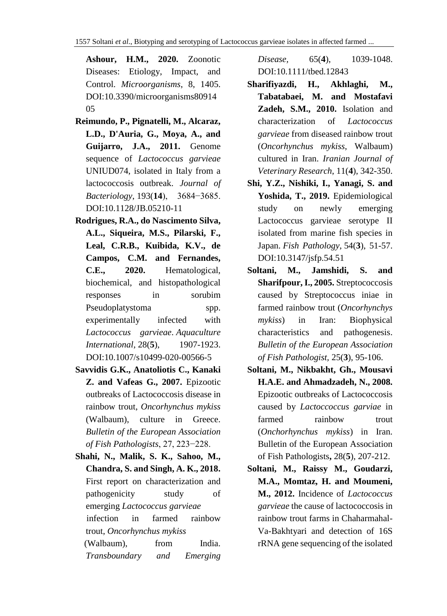**Ashour, H.M., 2020.** Zoonotic Diseases: Etiology, Impact, and Control. *Microorganisms*, 8, 1405. DOI:10.3390/microorganisms80914 05

- **Reimundo, P., Pignatelli, M., Alcaraz, L.D., D'Auria, G., Moya, A., and Guijarro, J.A., 2011.** Genome sequence of *Lactococcus garvieae*  UNIUD074, isolated in Italy from a lactococcosis outbreak. *Journal of Bacteriology*, 193(**14**), 3684−3685. DOI:10.1128/JB.05210-11
- **Rodrigues, R.A., do Nascimento Silva, A.L., Siqueira, M.S., Pilarski, F., Leal, C.R.B., Kuibida, K.V., de Campos, C.M. and Fernandes, C.E., 2020.** Hematological, biochemical, and histopathological responses in sorubim Pseudoplatystoma spp. experimentally infected with *Lactococcus garvieae*. *Aquaculture International*, 28(**5**), 1907-1923. [DOI:10.1007/s10499-020-00566-5](https://doi.org/10.1007/s10499-020-00566-5)
- **Savvidis G.K., Anatoliotis C., Kanaki Z. and Vafeas G., 2007.** Epizootic outbreaks of Lactococcosis disease in rainbow trout, *Oncorhynchus mykiss*  (Walbaum), culture in Greece. *Bulletin of the European Association of Fish Pathologists*, 27, 223−228.
- **Shahi, N., Malik, S. K., Sahoo, M., Chandra, S. and Singh, A. K., 2018.** First report on characterization and pathogenicity study of emerging *Lactococcus garvieae* infection in farmed rainbow trout, *Oncorhynchus mykiss* (Walbaum), from India.

*Transboundary and Emerging* 

*Disease,* 65(**4**), 1039-1048. DOI:10.1111/tbed.12843

- **Sharifiyazdi, H., Akhlaghi, M., Tabatabaei, M. and Mostafavi Zadeh, S.M., 2010.** Isolation and characterization of *Lactococcus garvieae* from diseased rainbow trout (*Oncorhynchus mykiss*, Walbaum) cultured in Iran. *Iranian Journal of Veterinary Research*, 11(**4**), 342-350.
- **Shi, Y.Z., Nishiki, I., Yanagi, S. and Yoshida, T., 2019.** Epidemiological study on newly emerging Lactococcus garvieae serotype II isolated from marine fish species in Japan. *Fish Pathology*, 54(**3**), 51-57. DOI:10.3147/jsfp.54.51
- **Soltani, M., Jamshidi, S. and Sharifpour, I., 2005.** [Streptococcosis](http://eafp.org/download/2005-Volume25/Issue%203/25_095.pdf)  [caused by Streptococcus iniae in](http://eafp.org/download/2005-Volume25/Issue%203/25_095.pdf)  [farmed rainbow trout \(](http://eafp.org/download/2005-Volume25/Issue%203/25_095.pdf)*Oncorhynchys mykiss*[\) in Iran: Biophysical](http://eafp.org/download/2005-Volume25/Issue%203/25_095.pdf)  [characteristics and pathogenesis.](http://eafp.org/download/2005-Volume25/Issue%203/25_095.pdf) *Bulletin of the European Association of Fish Pathologist,* 25(**3**), 95-106.
- **Soltani, M., Nikbakht, Gh., Mousavi H.A.E. and Ahmadzadeh, N., 2008.** Epizootic outbreaks of Lactococcosis caused by *Lactoccoccus garviae* in farmed rainbow trout (*Onchorhynchus mykiss*) in Iran. Bulletin of the European Association of Fish Pathologists**,** 28(**5**), 207-212.
- **Soltani, M., Raissy M., Goudarzi, M.A., Momtaz, H. and Moumeni, M., 2012.** Incidence of *Lactococcus garvieae* the cause of lactococcosis in rainbow trout farms in Chaharmahal-Va-Bakhtyari and detection of 16S rRNA gene sequencing of the isolated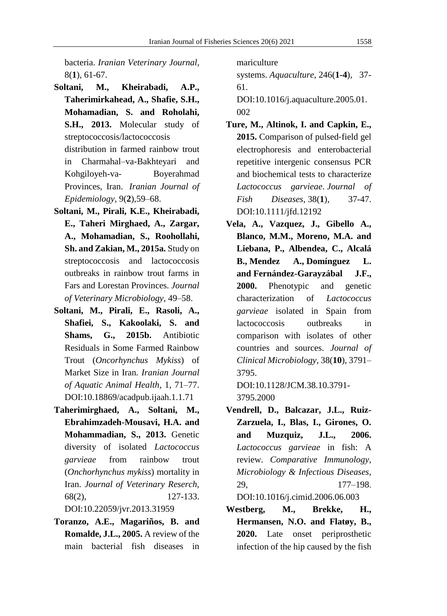bacteria. *Iranian Veterinary Journal*, 8(**1**), 61-67.

- **Soltani, M., Kheirabadi, A.P., Taherimirkahead, A., Shafie, S.H., Mohamadian, S. and Roholahi, S.H., 2013.** Molecular study of streptococcosis/lactococcosis distribution in farmed rainbow trout in Charmahal–va-Bakhteyari and Kohgiloyeh-va- Boyerahmad Provinces, Iran. *[Iranian Journal of](https://www.cabdirect.org/cabdirect/search/?q=do%3a%22Iranian+Journal+of+Epidemiology%22)  [Epidemiology](https://www.cabdirect.org/cabdirect/search/?q=do%3a%22Iranian+Journal+of+Epidemiology%22)*, 9(**2**),59–68.
- **Soltani, M., Pirali, K.E., Kheirabadi, E., Taheri Mirghaed, A., Zargar, A., Mohamadian, S., [Roohollahi,](https://www.sid.ir/en/journal/SearchPaper.aspx?writer=630284) [Sh.](https://www.sid.ir/en/journal/SearchPaper.aspx?writer=630284) and Zakian, M., 2015a.** Study on streptococcosis and lactococcosis outbreaks in rainbow trout farms in Fars and Lorestan Provinces. *Journal of Veterinary Microbiology*, 49–58.
- **Soltani, M., Pirali, E., Rasoli, A., Shafiei, S., Kakoolaki, S. and Shams, G., 2015b.** Antibiotic Residuals in Some Farmed Rainbow Trout (*Oncorhynchus Mykiss*) of Market Size in Iran*. Iranian Journal of Aquatic Animal Health*, 1, 71–77. DOI:10.18869/acadpub.ijaah.1.1.71
- **Taherimirghaed, A., Soltani, M., Ebrahimzadeh-Mousavi, H.A. and Mohammadian, S., 2013.** Genetic diversity of isolated *Lactococcus garvieae* from rainbow trout (*Onchorhynchus mykiss*) mortality in Iran. *Journal of Veterinary Reserch,*  68(2), 127-133. DOI:10.22059/jvr.2013.31959
- **Toranzo, A.E., Magariños, B. and Romalde, J.L., 2005.** A review of the main bacterial fish diseases in

mariculture

systems. *Aquaculture*, 246(**1-4**), 37- 61.

DOI:10.1016/j.aquaculture.2005.01. 002

- **Ture, M., Altinok, I. and Capkin, E., 2015.** Comparison of pulsed‐field gel electrophoresis and enterobacterial repetitive intergenic consensus PCR and biochemical tests to characterize *Lactococcus garvieae*. *Journal of Fish Diseases*, 38(**1**), 37-47. DOI:10.1111/jfd.12192
- **Vela, A., Vazquez, J., Gibello A., Blanco, M.M., Moreno, M.A. and Liebana, P., Albendea, C., Alcalá B., Mendez A., Domínguez L. and Fernández-Garayzábal J.F., 2000.** Phenotypic and genetic characterization of *Lactococcus garvieae* isolated in Spain from lactococcosis outbreaks in comparison with isolates of other countries and sources. *Journal of Clinical Microbiology*, 38(**10**), 3791– 3795.

DOI:10.1128/JCM.38.10.3791- 3795.2000

- **Vendrell, D., Balcazar, J.L., Ruiz-Zarzuela, I., Blas, I., Girones, O. and Muzquiz, J.L., 2006.** *Lactococcus garvieae* in fish: A review. *Comparative Immunology, Microbiology & Infectious Diseases*, 29, 177–198. DOI:10.1016/j.cimid.2006.06.003
- **Westberg, M., Brekke, H., Hermansen, N.O. and Flatøy, B., 2020.** Late onset periprosthetic infection of the hip caused by the fish